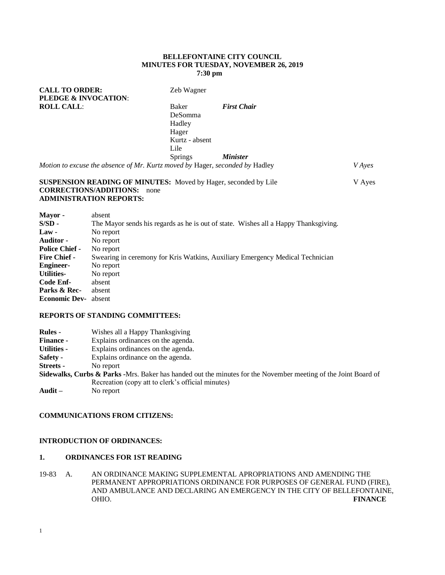#### **BELLEFONTAINE CITY COUNCIL MINUTES FOR TUESDAY, NOVEMBER 26, 2019 7:30 pm**

| Zeb Wagner                                                           |                        |                                                                              |
|----------------------------------------------------------------------|------------------------|------------------------------------------------------------------------------|
|                                                                      |                        |                                                                              |
| Baker<br><b>DeSomma</b><br>Hadley<br>Hager<br>Kurtz - absent<br>Lile | <b>First Chair</b>     |                                                                              |
| <b>Springs</b>                                                       | <i><b>Minister</b></i> |                                                                              |
|                                                                      |                        | V Ayes                                                                       |
|                                                                      |                        | Motion to excuse the absence of Mr. Kurtz moved by Hager, seconded by Hadley |

#### **SUSPENSION READING OF MINUTES:** Moved by Hager, seconded by Lile V Ayes **CORRECTIONS/ADDITIONS:** none **ADMINISTRATION REPORTS:**

| Mayor -               | absent                                                                              |
|-----------------------|-------------------------------------------------------------------------------------|
| S/SD -                | The Mayor sends his regards as he is out of state. Wishes all a Happy Thanksgiving. |
| <b>Law</b> -          | No report                                                                           |
| Auditor -             | No report                                                                           |
| <b>Police Chief -</b> | No report                                                                           |
| <b>Fire Chief -</b>   | Swearing in ceremony for Kris Watkins, Auxiliary Emergency Medical Technician       |
| <b>Engineer-</b>      | No report                                                                           |
| <b>Utilities-</b>     | No report                                                                           |
| Code Enf-             | absent                                                                              |
| Parks & Rec-          | absent                                                                              |
| <b>Economic Dev-</b>  | absent                                                                              |

## **REPORTS OF STANDING COMMITTEES:**

| <b>Rules</b> -     | Wishes all a Happy Thanksgiving                                                                                |
|--------------------|----------------------------------------------------------------------------------------------------------------|
| <b>Finance -</b>   | Explains ordinances on the agenda.                                                                             |
| <b>Utilities -</b> | Explains ordinances on the agenda.                                                                             |
| <b>Safety -</b>    | Explains ordinance on the agenda.                                                                              |
| Streets -          | No report                                                                                                      |
|                    | Sidewalks, Curbs & Parks -Mrs. Baker has handed out the minutes for the November meeting of the Joint Board of |
|                    | Recreation (copy att to clerk's official minutes)                                                              |
| Audit $-$          | No report                                                                                                      |

# **COMMUNICATIONS FROM CITIZENS:**

## **INTRODUCTION OF ORDINANCES:**

## **1. ORDINANCES FOR 1ST READING**

19-83 A. AN ORDINANCE MAKING SUPPLEMENTAL APROPRIATIONS AND AMENDING THE PERMANENT APPROPRIATIONS ORDINANCE FOR PURPOSES OF GENERAL FUND (FIRE), AND AMBULANCE AND DECLARING AN EMERGENCY IN THE CITY OF BELLEFONTAINE, OHIO. FINANCE **FINANCE**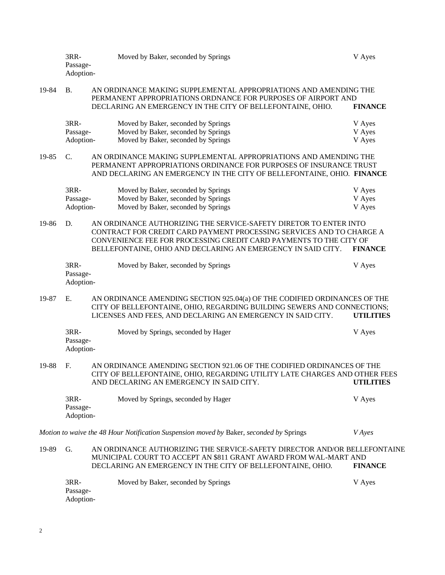|       | 3RR-<br>Passage-<br>Adoption-                                                                                                                                                                                          |  | Moved by Baker, seconded by Springs                                                                                                                                                                                                                                             | V Ayes           |
|-------|------------------------------------------------------------------------------------------------------------------------------------------------------------------------------------------------------------------------|--|---------------------------------------------------------------------------------------------------------------------------------------------------------------------------------------------------------------------------------------------------------------------------------|------------------|
| 19-84 | <b>B.</b>                                                                                                                                                                                                              |  | AN ORDINANCE MAKING SUPPLEMENTAL APPROPRIATIONS AND AMENDING THE<br>PERMANENT APPROPRIATIONS ORDNANCE FOR PURPOSES OF AIRPORT AND<br>DECLARING AN EMERGENCY IN THE CITY OF BELLEFONTAINE, OHIO.                                                                                 | <b>FINANCE</b>   |
|       | 3RR-<br>Passage-                                                                                                                                                                                                       |  | Moved by Baker, seconded by Springs<br>Moved by Baker, seconded by Springs                                                                                                                                                                                                      | V Ayes<br>V Ayes |
|       | Adoption-                                                                                                                                                                                                              |  | Moved by Baker, seconded by Springs                                                                                                                                                                                                                                             | V Ayes           |
| 19-85 | C.<br>AN ORDINANCE MAKING SUPPLEMENTAL APPROPRIATIONS AND AMENDING THE<br>PERMANENT APPROPRIATIONS ORDINANCE FOR PURPOSES OF INSURANCE TRUST<br>AND DECLARING AN EMERGENCY IN THE CITY OF BELLEFONTAINE, OHIO. FINANCE |  |                                                                                                                                                                                                                                                                                 |                  |
|       | 3RR-                                                                                                                                                                                                                   |  | Moved by Baker, seconded by Springs                                                                                                                                                                                                                                             | V Ayes           |
|       | Passage-                                                                                                                                                                                                               |  | Moved by Baker, seconded by Springs                                                                                                                                                                                                                                             | V Ayes           |
|       | Adoption-                                                                                                                                                                                                              |  | Moved by Baker, seconded by Springs                                                                                                                                                                                                                                             | V Ayes           |
| 19-86 | D.                                                                                                                                                                                                                     |  | AN ORDINANCE AUTHORIZING THE SERVICE-SAFETY DIRETOR TO ENTER INTO<br>CONTRACT FOR CREDIT CARD PAYMENT PROCESSING SERVICES AND TO CHARGE A<br>CONVENIENCE FEE FOR PROCESSING CREDIT CARD PAYMENTS TO THE CITY OF<br>BELLEFONTAINE, OHIO AND DECLARING AN EMERGENCY IN SAID CITY. | <b>FINANCE</b>   |
|       | 3RR-<br>Passage-<br>Adoption-                                                                                                                                                                                          |  | Moved by Baker, seconded by Springs                                                                                                                                                                                                                                             | V Ayes           |
| 19-87 | E.                                                                                                                                                                                                                     |  | AN ORDINANCE AMENDING SECTION 925.04(a) OF THE CODIFIED ORDINANCES OF THE<br>CITY OF BELLEFONTAINE, OHIO, REGARDING BUILDING SEWERS AND CONNECTIONS;<br>LICENSES AND FEES, AND DECLARING AN EMERGENCY IN SAID CITY.                                                             | <b>UTILITIES</b> |
|       | 3RR-<br>Passage-<br>Adoption-                                                                                                                                                                                          |  | Moved by Springs, seconded by Hager                                                                                                                                                                                                                                             | V Ayes           |
| 19-88 | F.                                                                                                                                                                                                                     |  | AN ORDINANCE AMENDING SECTION 921.06 OF THE CODIFIED ORDINANCES OF THE<br>CITY OF BELLEFONTAINE, OHIO, REGARDING UTILITY LATE CHARGES AND OTHER FEES<br>AND DECLARING AN EMERGENCY IN SAID CITY.                                                                                | <b>UTILITIES</b> |
|       | 3RR-<br>Passage-<br>Adoption-                                                                                                                                                                                          |  | Moved by Springs, seconded by Hager                                                                                                                                                                                                                                             | V Ayes           |
|       |                                                                                                                                                                                                                        |  | Motion to waive the 48 Hour Notification Suspension moved by Baker, seconded by Springs                                                                                                                                                                                         | <b>V</b> Ayes    |
| 19-89 | G.                                                                                                                                                                                                                     |  | AN ORDINANCE AUTHORIZING THE SERVICE-SAFETY DIRECTOR AND/OR BELLEFONTAINE<br>MUNICIPAL COURT TO ACCEPT AN \$811 GRANT AWARD FROM WAL-MART AND<br>DECLARING AN EMERGENCY IN THE CITY OF BELLEFONTAINE, OHIO.                                                                     | <b>FINANCE</b>   |
|       | 3RR-<br>Passage-<br>Adoption-                                                                                                                                                                                          |  | Moved by Baker, seconded by Springs                                                                                                                                                                                                                                             | V Ayes           |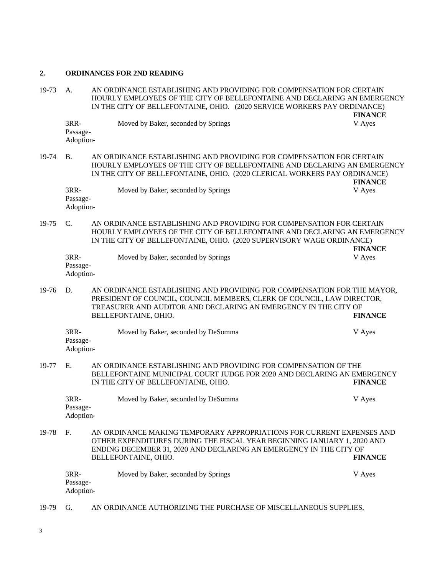# **2. ORDINANCES FOR 2ND READING**

| 19-73 | A.                            | AN ORDINANCE ESTABLISHING AND PROVIDING FOR COMPENSATION FOR CERTAIN<br>HOURLY EMPLOYEES OF THE CITY OF BELLEFONTAINE AND DECLARING AN EMERGENCY<br>IN THE CITY OF BELLEFONTAINE, OHIO. (2020 SERVICE WORKERS PAY ORDINANCE)                   | <b>FINANCE</b> |  |
|-------|-------------------------------|------------------------------------------------------------------------------------------------------------------------------------------------------------------------------------------------------------------------------------------------|----------------|--|
|       | 3RR-<br>Passage-<br>Adoption- | Moved by Baker, seconded by Springs                                                                                                                                                                                                            | V Ayes         |  |
| 19-74 | <b>B.</b>                     | AN ORDINANCE ESTABLISHING AND PROVIDING FOR COMPENSATION FOR CERTAIN<br>HOURLY EMPLOYEES OF THE CITY OF BELLEFONTAINE AND DECLARING AN EMERGENCY<br>IN THE CITY OF BELLEFONTAINE, OHIO. (2020 CLERICAL WORKERS PAY ORDINANCE)                  | <b>FINANCE</b> |  |
|       | 3RR-<br>Passage-<br>Adoption- | Moved by Baker, seconded by Springs                                                                                                                                                                                                            | V Ayes         |  |
| 19-75 | $\mathbf{C}$ .                | AN ORDINANCE ESTABLISHING AND PROVIDING FOR COMPENSATION FOR CERTAIN<br>HOURLY EMPLOYEES OF THE CITY OF BELLEFONTAINE AND DECLARING AN EMERGENCY<br>IN THE CITY OF BELLEFONTAINE, OHIO. (2020 SUPERVISORY WAGE ORDINANCE)<br><b>FINANCE</b>    |                |  |
|       | 3RR-<br>Passage-<br>Adoption- | Moved by Baker, seconded by Springs                                                                                                                                                                                                            | V Ayes         |  |
| 19-76 | D.                            | AN ORDINANCE ESTABLISHING AND PROVIDING FOR COMPENSATION FOR THE MAYOR,<br>PRESIDENT OF COUNCIL, COUNCIL MEMBERS, CLERK OF COUNCIL, LAW DIRECTOR,<br>TREASURER AND AUDITOR AND DECLARING AN EMERGENCY IN THE CITY OF<br>BELLEFONTAINE, OHIO.   | <b>FINANCE</b> |  |
|       | 3RR-<br>Passage-<br>Adoption- | Moved by Baker, seconded by DeSomma                                                                                                                                                                                                            | V Ayes         |  |
| 19-77 | Ε.                            | AN ORDINANCE ESTABLISHING AND PROVIDING FOR COMPENSATION OF THE<br>BELLEFONTAINE MUNICIPAL COURT JUDGE FOR 2020 AND DECLARING AN EMERGENCY<br>IN THE CITY OF BELLEFONTAINE, OHIO.                                                              | <b>FINANCE</b> |  |
|       | 3RR-<br>Passage-<br>Adoption- | Moved by Baker, seconded by DeSomma                                                                                                                                                                                                            | V Ayes         |  |
| 19-78 | F.                            | AN ORDINANCE MAKING TEMPORARY APPROPRIATIONS FOR CURRENT EXPENSES AND<br>OTHER EXPENDITURES DURING THE FISCAL YEAR BEGINNING JANUARY 1, 2020 AND<br>ENDING DECEMBER 31, 2020 AND DECLARING AN EMERGENCY IN THE CITY OF<br>BELLEFONTAINE, OHIO. | <b>FINANCE</b> |  |
|       | 3RR-<br>Passage-<br>Adoption- | Moved by Baker, seconded by Springs                                                                                                                                                                                                            | V Ayes         |  |

19-79 G. AN ORDINANCE AUTHORIZING THE PURCHASE OF MISCELLANEOUS SUPPLIES,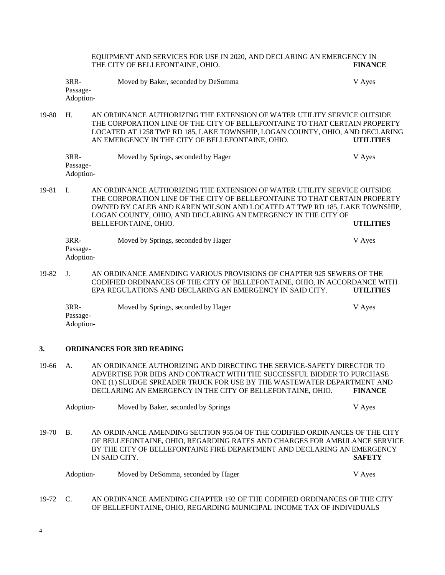EQUIPMENT AND SERVICES FOR USE IN 2020, AND DECLARING AN EMERGENCY IN THE CITY OF BELLEFONTAINE, OHIO. **FINANCE**

3RR- Moved by Baker, seconded by DeSomma V Ayes Passage-Adoption-

19-80 H. AN ORDINANCE AUTHORIZING THE EXTENSION OF WATER UTILITY SERVICE OUTSIDE THE CORPORATION LINE OF THE CITY OF BELLEFONTAINE TO THAT CERTAIN PROPERTY LOCATED AT 1258 TWP RD 185, LAKE TOWNSHIP, LOGAN COUNTY, OHIO, AND DECLARING AN EMERGENCY IN THE CITY OF BELLEFONTAINE, OHIO. **UTILITIES**

| 3RR-      | Moved by Springs, seconded by Hager | V Ayes |
|-----------|-------------------------------------|--------|
| Passage-  |                                     |        |
| Adoption- |                                     |        |

19-81 I. AN ORDINANCE AUTHORIZING THE EXTENSION OF WATER UTILITY SERVICE OUTSIDE THE CORPORATION LINE OF THE CITY OF BELLEFONTAINE TO THAT CERTAIN PROPERTY OWNED BY CALEB AND KAREN WILSON AND LOCATED AT TWP RD 185, LAKE TOWNSHIP, LOGAN COUNTY, OHIO, AND DECLARING AN EMERGENCY IN THE CITY OF BELLEFONTAINE, OHIO. **UTILITIES**

| 3RR-      | Moved by Springs, seconded by Hager | V Ayes |
|-----------|-------------------------------------|--------|
| Passage-  |                                     |        |
| Adoption- |                                     |        |

19-82 J. AN ORDINANCE AMENDING VARIOUS PROVISIONS OF CHAPTER 925 SEWERS OF THE CODIFIED ORDINANCES OF THE CITY OF BELLEFONTAINE, OHIO, IN ACCORDANCE WITH EPA REGULATIONS AND DECLARING AN EMERGENCY IN SAID CITY. **UTILITIES**

3RR- Moved by Springs, seconded by Hager V Ayes Passage-Adoption-

#### **3. ORDINANCES FOR 3RD READING**

19-66 A. AN ORDINANCE AUTHORIZING AND DIRECTING THE SERVICE-SAFETY DIRECTOR TO ADVERTISE FOR BIDS AND CONTRACT WITH THE SUCCESSFUL BIDDER TO PURCHASE ONE (1) SLUDGE SPREADER TRUCK FOR USE BY THE WASTEWATER DEPARTMENT AND DECLARING AN EMERGENCY IN THE CITY OF BELLEFONTAINE, OHIO. **FINANCE**

|            | Adoption- | Moved by Baker, seconded by Springs                                                                                                                      | V Ayes        |
|------------|-----------|----------------------------------------------------------------------------------------------------------------------------------------------------------|---------------|
| $19-70$ B. |           | AN ORDINANCE AMENDING SECTION 955.04 OF THE CODIFIED ORDINANCES OF THE CITY<br>OF BELLEFONTAINE, OHIO, REGARDING RATES AND CHARGES FOR AMBULANCE SERVICE |               |
|            |           | BY THE CITY OF BELLEFONTAINE FIRE DEPARTMENT AND DECLARING AN EMERGENCY<br>IN SAID CITY.                                                                 | <b>SAFETY</b> |

| Adoption- | Moved by DeSomma, seconded by Hager | V Ayes |
|-----------|-------------------------------------|--------|
|           |                                     |        |

19-72 C. AN ORDINANCE AMENDING CHAPTER 192 OF THE CODIFIED ORDINANCES OF THE CITY OF BELLEFONTAINE, OHIO, REGARDING MUNICIPAL INCOME TAX OF INDIVIDUALS